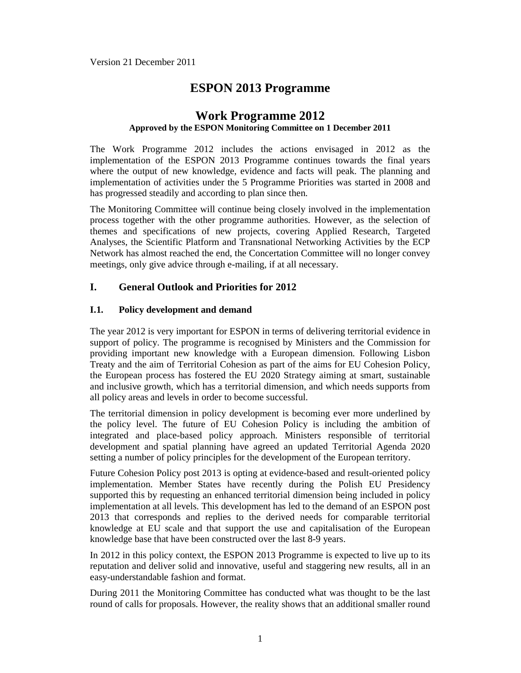# **ESPON 2013 Programme**

# **Work Programme 2012 Approved by the ESPON Monitoring Committee on 1 December 2011**

The Work Programme 2012 includes the actions envisaged in 2012 as the implementation of the ESPON 2013 Programme continues towards the final years where the output of new knowledge, evidence and facts will peak. The planning and implementation of activities under the 5 Programme Priorities was started in 2008 and has progressed steadily and according to plan since then.

The Monitoring Committee will continue being closely involved in the implementation process together with the other programme authorities. However, as the selection of themes and specifications of new projects, covering Applied Research, Targeted Analyses, the Scientific Platform and Transnational Networking Activities by the ECP Network has almost reached the end, the Concertation Committee will no longer convey meetings, only give advice through e-mailing, if at all necessary.

# **I. General Outlook and Priorities for 2012**

#### **I.1. Policy development and demand**

The year 2012 is very important for ESPON in terms of delivering territorial evidence in support of policy. The programme is recognised by Ministers and the Commission for providing important new knowledge with a European dimension. Following Lisbon Treaty and the aim of Territorial Cohesion as part of the aims for EU Cohesion Policy, the European process has fostered the EU 2020 Strategy aiming at smart, sustainable and inclusive growth, which has a territorial dimension, and which needs supports from all policy areas and levels in order to become successful.

The territorial dimension in policy development is becoming ever more underlined by the policy level. The future of EU Cohesion Policy is including the ambition of integrated and place-based policy approach. Ministers responsible of territorial development and spatial planning have agreed an updated Territorial Agenda 2020 setting a number of policy principles for the development of the European territory.

Future Cohesion Policy post 2013 is opting at evidence-based and result-oriented policy implementation. Member States have recently during the Polish EU Presidency supported this by requesting an enhanced territorial dimension being included in policy implementation at all levels. This development has led to the demand of an ESPON post 2013 that corresponds and replies to the derived needs for comparable territorial knowledge at EU scale and that support the use and capitalisation of the European knowledge base that have been constructed over the last 8-9 years.

In 2012 in this policy context, the ESPON 2013 Programme is expected to live up to its reputation and deliver solid and innovative, useful and staggering new results, all in an easy-understandable fashion and format.

During 2011 the Monitoring Committee has conducted what was thought to be the last round of calls for proposals. However, the reality shows that an additional smaller round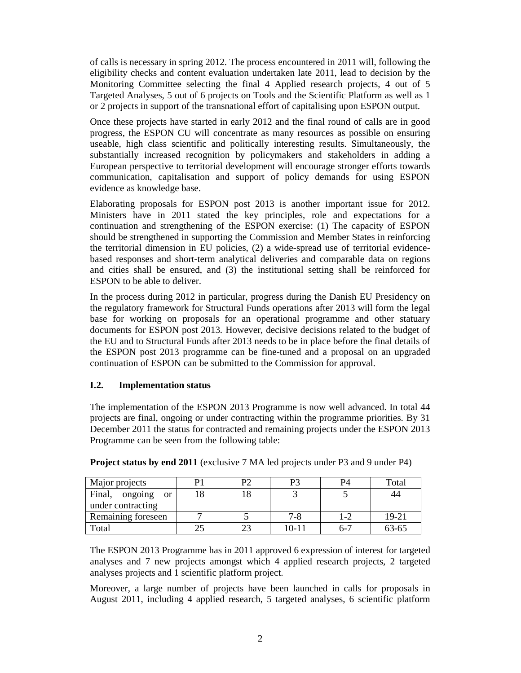of calls is necessary in spring 2012. The process encountered in 2011 will, following the eligibility checks and content evaluation undertaken late 2011, lead to decision by the Monitoring Committee selecting the final 4 Applied research projects, 4 out of 5 Targeted Analyses, 5 out of 6 projects on Tools and the Scientific Platform as well as 1 or 2 projects in support of the transnational effort of capitalising upon ESPON output.

Once these projects have started in early 2012 and the final round of calls are in good progress, the ESPON CU will concentrate as many resources as possible on ensuring useable, high class scientific and politically interesting results. Simultaneously, the substantially increased recognition by policymakers and stakeholders in adding a European perspective to territorial development will encourage stronger efforts towards communication, capitalisation and support of policy demands for using ESPON evidence as knowledge base.

Elaborating proposals for ESPON post 2013 is another important issue for 2012. Ministers have in 2011 stated the key principles, role and expectations for a continuation and strengthening of the ESPON exercise: (1) The capacity of ESPON should be strengthened in supporting the Commission and Member States in reinforcing the territorial dimension in EU policies, (2) a wide-spread use of territorial evidencebased responses and short-term analytical deliveries and comparable data on regions and cities shall be ensured, and (3) the institutional setting shall be reinforced for ESPON to be able to deliver.

In the process during 2012 in particular, progress during the Danish EU Presidency on the regulatory framework for Structural Funds operations after 2013 will form the legal base for working on proposals for an operational programme and other statuary documents for ESPON post 2013. However, decisive decisions related to the budget of the EU and to Structural Funds after 2013 needs to be in place before the final details of the ESPON post 2013 programme can be fine-tuned and a proposal on an upgraded continuation of ESPON can be submitted to the Commission for approval.

# **I.2. Implementation status**

The implementation of the ESPON 2013 Programme is now well advanced. In total 44 projects are final, ongoing or under contracting within the programme priorities. By 31 December 2011 the status for contracted and remaining projects under the ESPON 2013 Programme can be seen from the following table:

| Major projects                  | P٦ | P٩        | P4      | Total |
|---------------------------------|----|-----------|---------|-------|
| Final, ongoing<br><sub>or</sub> |    |           |         | 44    |
| under contracting               |    |           |         |       |
| Remaining foreseen              |    | 7-8       | $-2$    | 19-21 |
| Total                           |    | $10 - 11$ | $6 - 7$ | 63-65 |

**Project status by end 2011** (exclusive 7 MA led projects under P3 and 9 under P4)

The ESPON 2013 Programme has in 2011 approved 6 expression of interest for targeted analyses and 7 new projects amongst which 4 applied research projects, 2 targeted analyses projects and 1 scientific platform project.

Moreover, a large number of projects have been launched in calls for proposals in August 2011, including 4 applied research, 5 targeted analyses, 6 scientific platform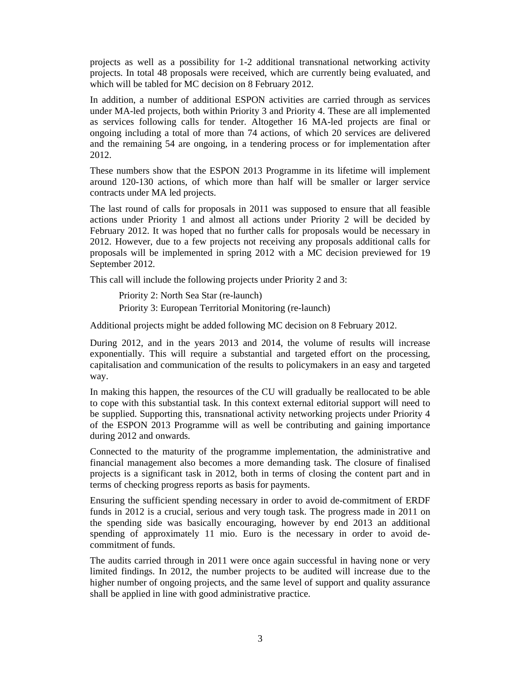projects as well as a possibility for 1-2 additional transnational networking activity projects. In total 48 proposals were received, which are currently being evaluated, and which will be tabled for MC decision on 8 February 2012.

In addition, a number of additional ESPON activities are carried through as services under MA-led projects, both within Priority 3 and Priority 4. These are all implemented as services following calls for tender. Altogether 16 MA-led projects are final or ongoing including a total of more than 74 actions, of which 20 services are delivered and the remaining 54 are ongoing, in a tendering process or for implementation after 2012.

These numbers show that the ESPON 2013 Programme in its lifetime will implement around 120-130 actions, of which more than half will be smaller or larger service contracts under MA led projects.

The last round of calls for proposals in 2011 was supposed to ensure that all feasible actions under Priority 1 and almost all actions under Priority 2 will be decided by February 2012. It was hoped that no further calls for proposals would be necessary in 2012. However, due to a few projects not receiving any proposals additional calls for proposals will be implemented in spring 2012 with a MC decision previewed for 19 September 2012.

This call will include the following projects under Priority 2 and 3:

Priority 2: North Sea Star (re-launch) Priority 3: European Territorial Monitoring (re-launch)

Additional projects might be added following MC decision on 8 February 2012.

During 2012, and in the years 2013 and 2014, the volume of results will increase exponentially. This will require a substantial and targeted effort on the processing, capitalisation and communication of the results to policymakers in an easy and targeted way.

In making this happen, the resources of the CU will gradually be reallocated to be able to cope with this substantial task. In this context external editorial support will need to be supplied. Supporting this, transnational activity networking projects under Priority 4 of the ESPON 2013 Programme will as well be contributing and gaining importance during 2012 and onwards.

Connected to the maturity of the programme implementation, the administrative and financial management also becomes a more demanding task. The closure of finalised projects is a significant task in 2012, both in terms of closing the content part and in terms of checking progress reports as basis for payments.

Ensuring the sufficient spending necessary in order to avoid de-commitment of ERDF funds in 2012 is a crucial, serious and very tough task. The progress made in 2011 on the spending side was basically encouraging, however by end 2013 an additional spending of approximately 11 mio. Euro is the necessary in order to avoid decommitment of funds.

The audits carried through in 2011 were once again successful in having none or very limited findings. In 2012, the number projects to be audited will increase due to the higher number of ongoing projects, and the same level of support and quality assurance shall be applied in line with good administrative practice.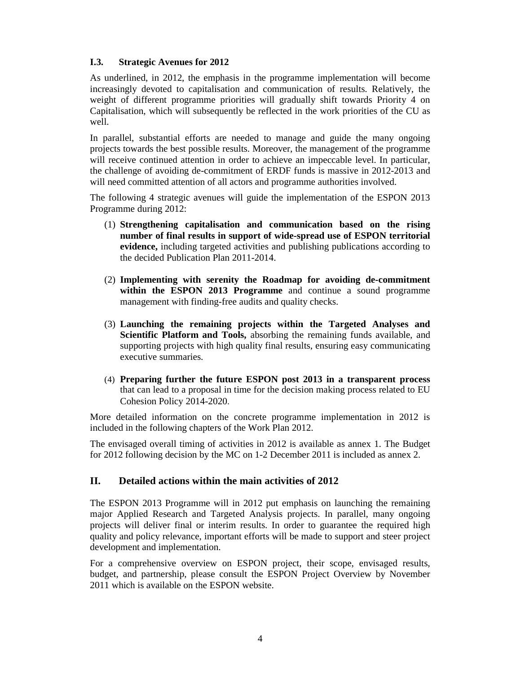#### **I.3. Strategic Avenues for 2012**

As underlined, in 2012, the emphasis in the programme implementation will become increasingly devoted to capitalisation and communication of results. Relatively, the weight of different programme priorities will gradually shift towards Priority 4 on Capitalisation, which will subsequently be reflected in the work priorities of the CU as well.

In parallel, substantial efforts are needed to manage and guide the many ongoing projects towards the best possible results. Moreover, the management of the programme will receive continued attention in order to achieve an impeccable level. In particular, the challenge of avoiding de-commitment of ERDF funds is massive in 2012-2013 and will need committed attention of all actors and programme authorities involved.

The following 4 strategic avenues will guide the implementation of the ESPON 2013 Programme during 2012:

- (1) **Strengthening capitalisation and communication based on the rising number of final results in support of wide-spread use of ESPON territorial evidence,** including targeted activities and publishing publications according to the decided Publication Plan 2011-2014.
- (2) **Implementing with serenity the Roadmap for avoiding de-commitment within the ESPON 2013 Programme** and continue a sound programme management with finding-free audits and quality checks.
- (3) **Launching the remaining projects within the Targeted Analyses and Scientific Platform and Tools,** absorbing the remaining funds available, and supporting projects with high quality final results, ensuring easy communicating executive summaries.
- (4) **Preparing further the future ESPON post 2013 in a transparent process**  that can lead to a proposal in time for the decision making process related to EU Cohesion Policy 2014-2020.

More detailed information on the concrete programme implementation in 2012 is included in the following chapters of the Work Plan 2012.

The envisaged overall timing of activities in 2012 is available as annex 1. The Budget for 2012 following decision by the MC on 1-2 December 2011 is included as annex 2.

# **II. Detailed actions within the main activities of 2012**

The ESPON 2013 Programme will in 2012 put emphasis on launching the remaining major Applied Research and Targeted Analysis projects. In parallel, many ongoing projects will deliver final or interim results. In order to guarantee the required high quality and policy relevance, important efforts will be made to support and steer project development and implementation.

For a comprehensive overview on ESPON project, their scope, envisaged results, budget, and partnership, please consult the ESPON Project Overview by November 2011 which is available on the ESPON website.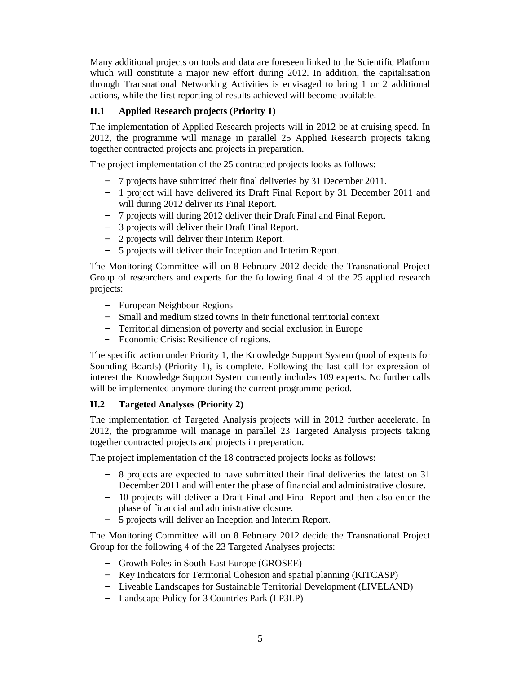Many additional projects on tools and data are foreseen linked to the Scientific Platform which will constitute a major new effort during 2012. In addition, the capitalisation through Transnational Networking Activities is envisaged to bring 1 or 2 additional actions, while the first reporting of results achieved will become available.

# **II.1 Applied Research projects (Priority 1)**

The implementation of Applied Research projects will in 2012 be at cruising speed. In 2012, the programme will manage in parallel 25 Applied Research projects taking together contracted projects and projects in preparation.

The project implementation of the 25 contracted projects looks as follows:

- 7 projects have submitted their final deliveries by 31 December 2011.
- 1 project will have delivered its Draft Final Report by 31 December 2011 and will during 2012 deliver its Final Report.
- 7 projects will during 2012 deliver their Draft Final and Final Report.
- 3 projects will deliver their Draft Final Report.
- 2 projects will deliver their Interim Report.
- 5 projects will deliver their Inception and Interim Report.

The Monitoring Committee will on 8 February 2012 decide the Transnational Project Group of researchers and experts for the following final 4 of the 25 applied research projects:

- European Neighbour Regions
- Small and medium sized towns in their functional territorial context
- Territorial dimension of poverty and social exclusion in Europe
- Economic Crisis: Resilience of regions.

The specific action under Priority 1, the Knowledge Support System (pool of experts for Sounding Boards) (Priority 1), is complete. Following the last call for expression of interest the Knowledge Support System currently includes 109 experts. No further calls will be implemented anymore during the current programme period.

# **II.2 Targeted Analyses (Priority 2)**

The implementation of Targeted Analysis projects will in 2012 further accelerate. In 2012, the programme will manage in parallel 23 Targeted Analysis projects taking together contracted projects and projects in preparation.

The project implementation of the 18 contracted projects looks as follows:

- 8 projects are expected to have submitted their final deliveries the latest on 31 December 2011 and will enter the phase of financial and administrative closure.
- 10 projects will deliver a Draft Final and Final Report and then also enter the phase of financial and administrative closure.
- 5 projects will deliver an Inception and Interim Report.

The Monitoring Committee will on 8 February 2012 decide the Transnational Project Group for the following 4 of the 23 Targeted Analyses projects:

- Growth Poles in South-East Europe (GROSEE)
- Key Indicators for Territorial Cohesion and spatial planning (KITCASP)
- Liveable Landscapes for Sustainable Territorial Development (LIVELAND)
- Landscape Policy for 3 Countries Park (LP3LP)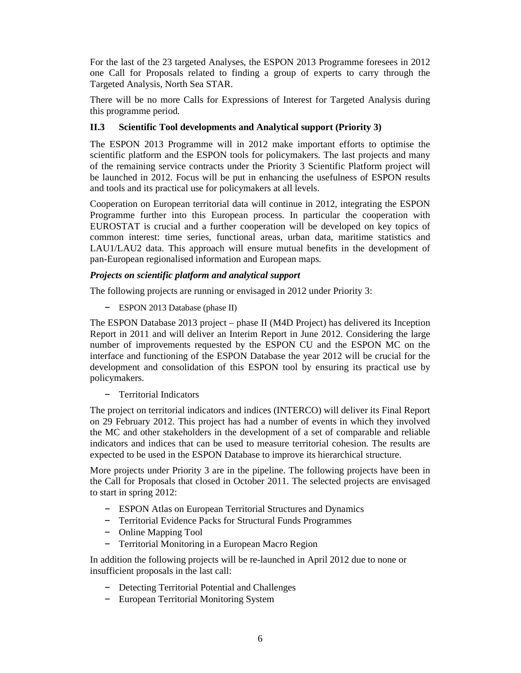For the last of the 23 targeted Analyses, the ESPON 2013 Programme foresees in 2012 one Call for Proposals related to finding a group of experts to carry through the Targeted Analysis, North Sea STAR.

There will be no more Calls for Expressions of Interest for Targeted Analysis during this programme period.

### **II.3 Scientific Tool developments and Analytical support (Priority 3)**

The ESPON 2013 Programme will in 2012 make important efforts to optimise the scientific platform and the ESPON tools for policymakers. The last projects and many of the remaining service contracts under the Priority 3 Scientific Platform project will be launched in 2012. Focus will be put in enhancing the usefulness of ESPON results and tools and its practical use for policymakers at all levels.

Cooperation on European territorial data will continue in 2012, integrating the ESPON Programme further into this European process. In particular the cooperation with EUROSTAT is crucial and a further cooperation will be developed on key topics of common interest: time series, functional areas, urban data, maritime statistics and LAU1/LAU2 data. This approach will ensure mutual benefits in the development of pan-European regionalised information and European maps.

#### *Projects on scientific platform and analytical support*

The following projects are running or envisaged in 2012 under Priority 3:

– ESPON 2013 Database (phase II)

The ESPON Database 2013 project – phase II (M4D Project) has delivered its Inception Report in 2011 and will deliver an Interim Report in June 2012. Considering the large number of improvements requested by the ESPON CU and the ESPON MC on the interface and functioning of the ESPON Database the year 2012 will be crucial for the development and consolidation of this ESPON tool by ensuring its practical use by policymakers.

– Territorial Indicators

The project on territorial indicators and indices (INTERCO) will deliver its Final Report on 29 February 2012. This project has had a number of events in which they involved the MC and other stakeholders in the development of a set of comparable and reliable indicators and indices that can be used to measure territorial cohesion. The results are expected to be used in the ESPON Database to improve its hierarchical structure.

More projects under Priority 3 are in the pipeline. The following projects have been in the Call for Proposals that closed in October 2011. The selected projects are envisaged to start in spring 2012:

- ESPON Atlas on European Territorial Structures and Dynamics
- Territorial Evidence Packs for Structural Funds Programmes
- Online Mapping Tool
- Territorial Monitoring in a European Macro Region

In addition the following projects will be re-launched in April 2012 due to none or insufficient proposals in the last call:

- Detecting Territorial Potential and Challenges
- European Territorial Monitoring System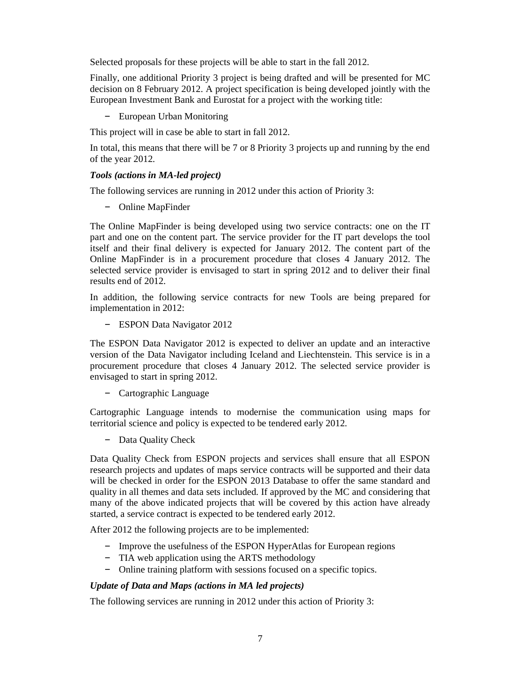Selected proposals for these projects will be able to start in the fall 2012.

Finally, one additional Priority 3 project is being drafted and will be presented for MC decision on 8 February 2012. A project specification is being developed jointly with the European Investment Bank and Eurostat for a project with the working title:

– European Urban Monitoring

This project will in case be able to start in fall 2012.

In total, this means that there will be 7 or 8 Priority 3 projects up and running by the end of the year 2012.

#### *Tools (actions in MA-led project)*

The following services are running in 2012 under this action of Priority 3:

– Online MapFinder

The Online MapFinder is being developed using two service contracts: one on the IT part and one on the content part. The service provider for the IT part develops the tool itself and their final delivery is expected for January 2012. The content part of the Online MapFinder is in a procurement procedure that closes 4 January 2012. The selected service provider is envisaged to start in spring 2012 and to deliver their final results end of 2012.

In addition, the following service contracts for new Tools are being prepared for implementation in 2012:

– ESPON Data Navigator 2012

The ESPON Data Navigator 2012 is expected to deliver an update and an interactive version of the Data Navigator including Iceland and Liechtenstein. This service is in a procurement procedure that closes 4 January 2012. The selected service provider is envisaged to start in spring 2012.

– Cartographic Language

Cartographic Language intends to modernise the communication using maps for territorial science and policy is expected to be tendered early 2012.

– Data Quality Check

Data Quality Check from ESPON projects and services shall ensure that all ESPON research projects and updates of maps service contracts will be supported and their data will be checked in order for the ESPON 2013 Database to offer the same standard and quality in all themes and data sets included. If approved by the MC and considering that many of the above indicated projects that will be covered by this action have already started, a service contract is expected to be tendered early 2012.

After 2012 the following projects are to be implemented:

- Improve the usefulness of the ESPON HyperAtlas for European regions
- TIA web application using the ARTS methodology
- Online training platform with sessions focused on a specific topics.

# *Update of Data and Maps (actions in MA led projects)*

The following services are running in 2012 under this action of Priority 3: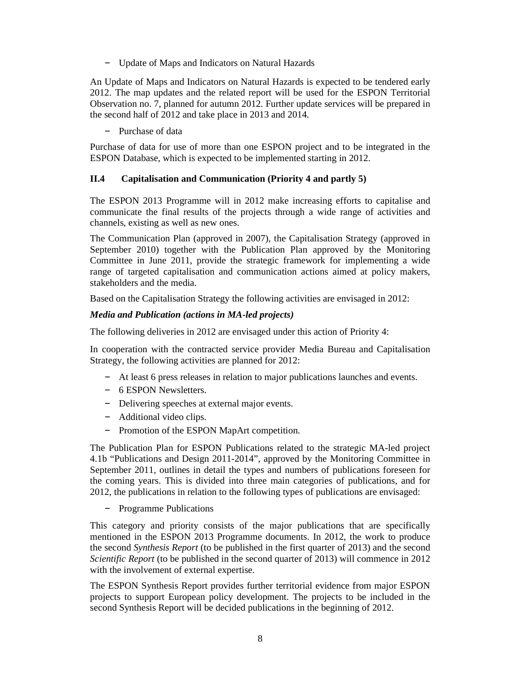– Update of Maps and Indicators on Natural Hazards

An Update of Maps and Indicators on Natural Hazards is expected to be tendered early 2012. The map updates and the related report will be used for the ESPON Territorial Observation no. 7, planned for autumn 2012. Further update services will be prepared in the second half of 2012 and take place in 2013 and 2014.

– Purchase of data

Purchase of data for use of more than one ESPON project and to be integrated in the ESPON Database, which is expected to be implemented starting in 2012.

# **II.4 Capitalisation and Communication (Priority 4 and partly 5)**

The ESPON 2013 Programme will in 2012 make increasing efforts to capitalise and communicate the final results of the projects through a wide range of activities and channels, existing as well as new ones.

The Communication Plan (approved in 2007), the Capitalisation Strategy (approved in September 2010) together with the Publication Plan approved by the Monitoring Committee in June 2011, provide the strategic framework for implementing a wide range of targeted capitalisation and communication actions aimed at policy makers, stakeholders and the media.

Based on the Capitalisation Strategy the following activities are envisaged in 2012:

#### *Media and Publication (actions in MA-led projects)*

The following deliveries in 2012 are envisaged under this action of Priority 4:

In cooperation with the contracted service provider Media Bureau and Capitalisation Strategy, the following activities are planned for 2012:

- At least 6 press releases in relation to major publications launches and events.
- 6 ESPON Newsletters.
- Delivering speeches at external major events.
- Additional video clips.
- Promotion of the ESPON MapArt competition.

The Publication Plan for ESPON Publications related to the strategic MA-led project 4.1b "Publications and Design 2011-2014", approved by the Monitoring Committee in September 2011, outlines in detail the types and numbers of publications foreseen for the coming years. This is divided into three main categories of publications, and for 2012, the publications in relation to the following types of publications are envisaged:

– Programme Publications

This category and priority consists of the major publications that are specifically mentioned in the ESPON 2013 Programme documents. In 2012, the work to produce the second *Synthesis Report* (to be published in the first quarter of 2013) and the second *Scientific Report* (to be published in the second quarter of 2013) will commence in 2012 with the involvement of external expertise.

The ESPON Synthesis Report provides further territorial evidence from major ESPON projects to support European policy development. The projects to be included in the second Synthesis Report will be decided publications in the beginning of 2012.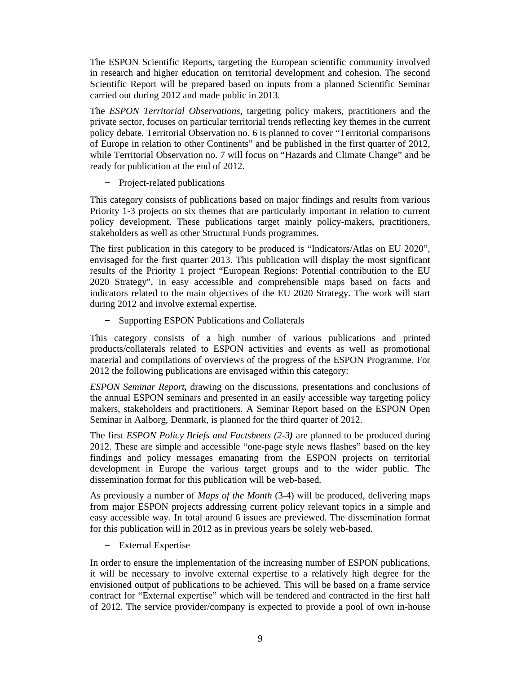The ESPON Scientific Reports, targeting the European scientific community involved in research and higher education on territorial development and cohesion. The second Scientific Report will be prepared based on inputs from a planned Scientific Seminar carried out during 2012 and made public in 2013.

The *ESPON Territorial Observations*, targeting policy makers, practitioners and the private sector, focuses on particular territorial trends reflecting key themes in the current policy debate. Territorial Observation no. 6 is planned to cover "Territorial comparisons of Europe in relation to other Continents" and be published in the first quarter of 2012, while Territorial Observation no. 7 will focus on "Hazards and Climate Change" and be ready for publication at the end of 2012.

– Project-related publications

This category consists of publications based on major findings and results from various Priority 1-3 projects on six themes that are particularly important in relation to current policy development. These publications target mainly policy-makers, practitioners, stakeholders as well as other Structural Funds programmes.

The first publication in this category to be produced is "Indicators/Atlas on EU 2020", envisaged for the first quarter 2013. This publication will display the most significant results of the Priority 1 project "European Regions: Potential contribution to the EU 2020 Strategy", in easy accessible and comprehensible maps based on facts and indicators related to the main objectives of the EU 2020 Strategy. The work will start during 2012 and involve external expertise.

– Supporting ESPON Publications and Collaterals

This category consists of a high number of various publications and printed products/collaterals related to ESPON activities and events as well as promotional material and compilations of overviews of the progress of the ESPON Programme. For 2012 the following publications are envisaged within this category:

*ESPON Seminar Report,* drawing on the discussions, presentations and conclusions of the annual ESPON seminars and presented in an easily accessible way targeting policy makers, stakeholders and practitioners. A Seminar Report based on the ESPON Open Seminar in Aalborg, Denmark, is planned for the third quarter of 2012.

The first *ESPON Policy Briefs and Factsheets (2-3)* are planned to be produced during 2012. These are simple and accessible "one-page style news flashes" based on the key findings and policy messages emanating from the ESPON projects on territorial development in Europe the various target groups and to the wider public. The dissemination format for this publication will be web-based.

As previously a number of *Maps of the Month* (3-4) will be produced, delivering maps from major ESPON projects addressing current policy relevant topics in a simple and easy accessible way. In total around 6 issues are previewed. The dissemination format for this publication will in 2012 as in previous years be solely web-based.

– External Expertise

In order to ensure the implementation of the increasing number of ESPON publications, it will be necessary to involve external expertise to a relatively high degree for the envisioned output of publications to be achieved. This will be based on a frame service contract for "External expertise" which will be tendered and contracted in the first half of 2012. The service provider/company is expected to provide a pool of own in-house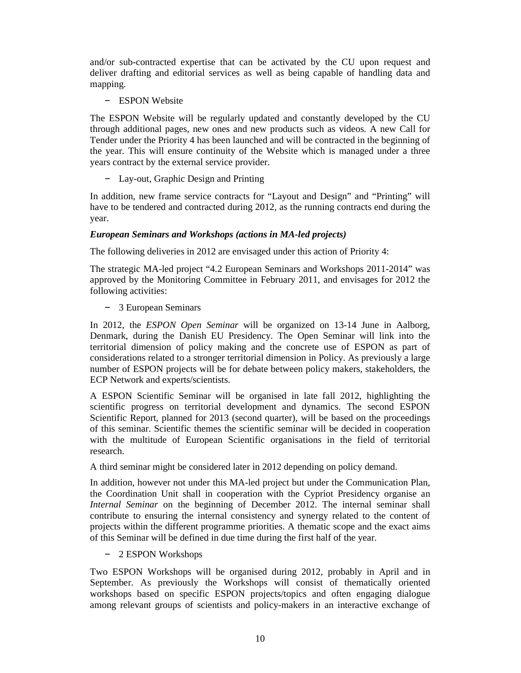and/or sub-contracted expertise that can be activated by the CU upon request and deliver drafting and editorial services as well as being capable of handling data and mapping.

– ESPON Website

The ESPON Website will be regularly updated and constantly developed by the CU through additional pages, new ones and new products such as videos. A new Call for Tender under the Priority 4 has been launched and will be contracted in the beginning of the year. This will ensure continuity of the Website which is managed under a three years contract by the external service provider.

– Lay-out, Graphic Design and Printing

In addition, new frame service contracts for "Layout and Design" and "Printing" will have to be tendered and contracted during 2012, as the running contracts end during the year.

#### *European Seminars and Workshops (actions in MA-led projects)*

The following deliveries in 2012 are envisaged under this action of Priority 4:

The strategic MA-led project "4.2 European Seminars and Workshops 2011-2014" was approved by the Monitoring Committee in February 2011, and envisages for 2012 the following activities:

– 3 European Seminars

In 2012, the *ESPON Open Seminar* will be organized on 13-14 June in Aalborg, Denmark, during the Danish EU Presidency. The Open Seminar will link into the territorial dimension of policy making and the concrete use of ESPON as part of considerations related to a stronger territorial dimension in Policy. As previously a large number of ESPON projects will be for debate between policy makers, stakeholders, the ECP Network and experts/scientists.

A ESPON Scientific Seminar will be organised in late fall 2012, highlighting the scientific progress on territorial development and dynamics. The second ESPON Scientific Report, planned for 2013 (second quarter), will be based on the proceedings of this seminar. Scientific themes the scientific seminar will be decided in cooperation with the multitude of European Scientific organisations in the field of territorial research.

A third seminar might be considered later in 2012 depending on policy demand.

In addition, however not under this MA-led project but under the Communication Plan, the Coordination Unit shall in cooperation with the Cypriot Presidency organise an *Internal Seminar* on the beginning of December 2012. The internal seminar shall contribute to ensuring the internal consistency and synergy related to the content of projects within the different programme priorities. A thematic scope and the exact aims of this Seminar will be defined in due time during the first half of the year.

– 2 ESPON Workshops

Two ESPON Workshops will be organised during 2012, probably in April and in September. As previously the Workshops will consist of thematically oriented workshops based on specific ESPON projects/topics and often engaging dialogue among relevant groups of scientists and policy-makers in an interactive exchange of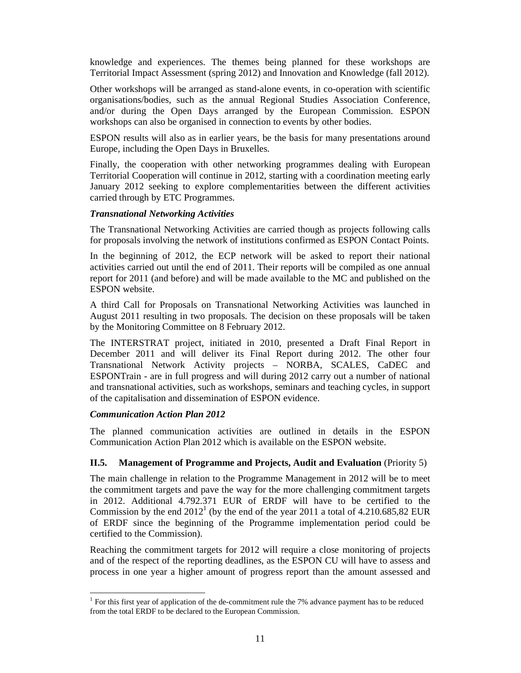knowledge and experiences. The themes being planned for these workshops are Territorial Impact Assessment (spring 2012) and Innovation and Knowledge (fall 2012).

Other workshops will be arranged as stand-alone events, in co-operation with scientific organisations/bodies, such as the annual Regional Studies Association Conference, and/or during the Open Days arranged by the European Commission. ESPON workshops can also be organised in connection to events by other bodies.

ESPON results will also as in earlier years, be the basis for many presentations around Europe, including the Open Days in Bruxelles.

Finally, the cooperation with other networking programmes dealing with European Territorial Cooperation will continue in 2012, starting with a coordination meeting early January 2012 seeking to explore complementarities between the different activities carried through by ETC Programmes.

#### *Transnational Networking Activities*

The Transnational Networking Activities are carried though as projects following calls for proposals involving the network of institutions confirmed as ESPON Contact Points.

In the beginning of 2012, the ECP network will be asked to report their national activities carried out until the end of 2011. Their reports will be compiled as one annual report for 2011 (and before) and will be made available to the MC and published on the ESPON website.

A third Call for Proposals on Transnational Networking Activities was launched in August 2011 resulting in two proposals. The decision on these proposals will be taken by the Monitoring Committee on 8 February 2012.

The INTERSTRAT project, initiated in 2010, presented a Draft Final Report in December 2011 and will deliver its Final Report during 2012. The other four Transnational Network Activity projects – NORBA, SCALES, CaDEC and ESPONTrain - are in full progress and will during 2012 carry out a number of national and transnational activities, such as workshops, seminars and teaching cycles, in support of the capitalisation and dissemination of ESPON evidence.

#### *Communication Action Plan 2012*

The planned communication activities are outlined in details in the ESPON Communication Action Plan 2012 which is available on the ESPON website.

# **II.5.** Management of Programme and Projects, Audit and Evaluation (Priority 5)

The main challenge in relation to the Programme Management in 2012 will be to meet the commitment targets and pave the way for the more challenging commitment targets in 2012. Additional 4.792.371 EUR of ERDF will have to be certified to the Commission by the end  $2012<sup>1</sup>$  (by the end of the year 2011 a total of 4.210.685,82 EUR of ERDF since the beginning of the Programme implementation period could be certified to the Commission).

Reaching the commitment targets for 2012 will require a close monitoring of projects and of the respect of the reporting deadlines, as the ESPON CU will have to assess and process in one year a higher amount of progress report than the amount assessed and

 $\overline{a}$ <sup>1</sup> For this first year of application of the de-commitment rule the 7% advance payment has to be reduced from the total ERDF to be declared to the European Commission.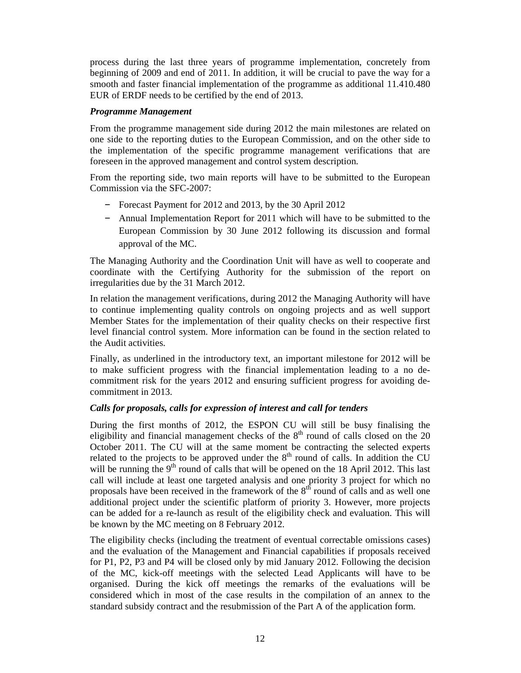process during the last three years of programme implementation, concretely from beginning of 2009 and end of 2011. In addition, it will be crucial to pave the way for a smooth and faster financial implementation of the programme as additional 11.410.480 EUR of ERDF needs to be certified by the end of 2013.

#### *Programme Management*

From the programme management side during 2012 the main milestones are related on one side to the reporting duties to the European Commission, and on the other side to the implementation of the specific programme management verifications that are foreseen in the approved management and control system description.

From the reporting side, two main reports will have to be submitted to the European Commission via the SFC-2007:

- Forecast Payment for 2012 and 2013, by the 30 April 2012
- Annual Implementation Report for 2011 which will have to be submitted to the European Commission by 30 June 2012 following its discussion and formal approval of the MC.

The Managing Authority and the Coordination Unit will have as well to cooperate and coordinate with the Certifying Authority for the submission of the report on irregularities due by the 31 March 2012.

In relation the management verifications, during 2012 the Managing Authority will have to continue implementing quality controls on ongoing projects and as well support Member States for the implementation of their quality checks on their respective first level financial control system. More information can be found in the section related to the Audit activities.

Finally, as underlined in the introductory text, an important milestone for 2012 will be to make sufficient progress with the financial implementation leading to a no decommitment risk for the years 2012 and ensuring sufficient progress for avoiding decommitment in 2013.

# *Calls for proposals, calls for expression of interest and call for tenders*

During the first months of 2012, the ESPON CU will still be busy finalising the eligibility and financial management checks of the  $8<sup>th</sup>$  round of calls closed on the 20 October 2011. The CU will at the same moment be contracting the selected experts related to the projects to be approved under the  $8<sup>th</sup>$  round of calls. In addition the CU will be running the  $9<sup>th</sup>$  round of calls that will be opened on the 18 April 2012. This last call will include at least one targeted analysis and one priority 3 project for which no proposals have been received in the framework of the  $8<sup>th</sup>$  round of calls and as well one additional project under the scientific platform of priority 3. However, more projects can be added for a re-launch as result of the eligibility check and evaluation. This will be known by the MC meeting on 8 February 2012.

The eligibility checks (including the treatment of eventual correctable omissions cases) and the evaluation of the Management and Financial capabilities if proposals received for P1, P2, P3 and P4 will be closed only by mid January 2012. Following the decision of the MC, kick-off meetings with the selected Lead Applicants will have to be organised. During the kick off meetings the remarks of the evaluations will be considered which in most of the case results in the compilation of an annex to the standard subsidy contract and the resubmission of the Part A of the application form.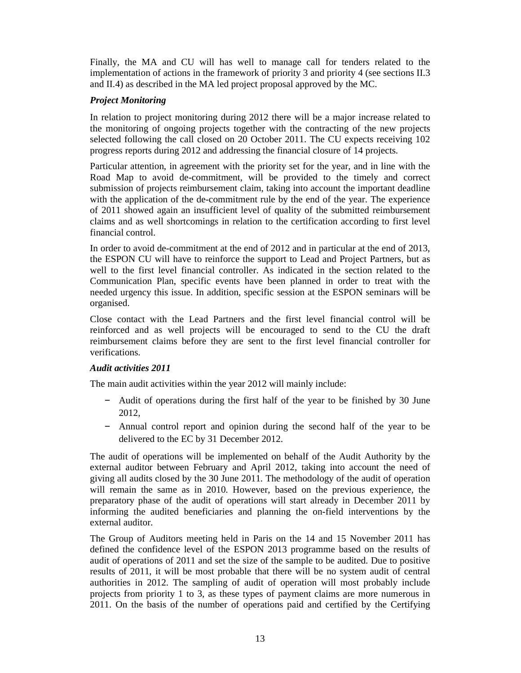Finally, the MA and CU will has well to manage call for tenders related to the implementation of actions in the framework of priority 3 and priority 4 (see sections II.3 and II.4) as described in the MA led project proposal approved by the MC.

# *Project Monitoring*

In relation to project monitoring during 2012 there will be a major increase related to the monitoring of ongoing projects together with the contracting of the new projects selected following the call closed on 20 October 2011. The CU expects receiving 102 progress reports during 2012 and addressing the financial closure of 14 projects.

Particular attention, in agreement with the priority set for the year, and in line with the Road Map to avoid de-commitment, will be provided to the timely and correct submission of projects reimbursement claim, taking into account the important deadline with the application of the de-commitment rule by the end of the year. The experience of 2011 showed again an insufficient level of quality of the submitted reimbursement claims and as well shortcomings in relation to the certification according to first level financial control.

In order to avoid de-commitment at the end of 2012 and in particular at the end of 2013, the ESPON CU will have to reinforce the support to Lead and Project Partners, but as well to the first level financial controller. As indicated in the section related to the Communication Plan, specific events have been planned in order to treat with the needed urgency this issue. In addition, specific session at the ESPON seminars will be organised.

Close contact with the Lead Partners and the first level financial control will be reinforced and as well projects will be encouraged to send to the CU the draft reimbursement claims before they are sent to the first level financial controller for verifications.

# *Audit activities 2011*

The main audit activities within the year 2012 will mainly include:

- Audit of operations during the first half of the year to be finished by 30 June 2012,
- Annual control report and opinion during the second half of the year to be delivered to the EC by 31 December 2012.

The audit of operations will be implemented on behalf of the Audit Authority by the external auditor between February and April 2012, taking into account the need of giving all audits closed by the 30 June 2011. The methodology of the audit of operation will remain the same as in 2010. However, based on the previous experience, the preparatory phase of the audit of operations will start already in December 2011 by informing the audited beneficiaries and planning the on-field interventions by the external auditor.

The Group of Auditors meeting held in Paris on the 14 and 15 November 2011 has defined the confidence level of the ESPON 2013 programme based on the results of audit of operations of 2011 and set the size of the sample to be audited. Due to positive results of 2011, it will be most probable that there will be no system audit of central authorities in 2012. The sampling of audit of operation will most probably include projects from priority 1 to 3, as these types of payment claims are more numerous in 2011. On the basis of the number of operations paid and certified by the Certifying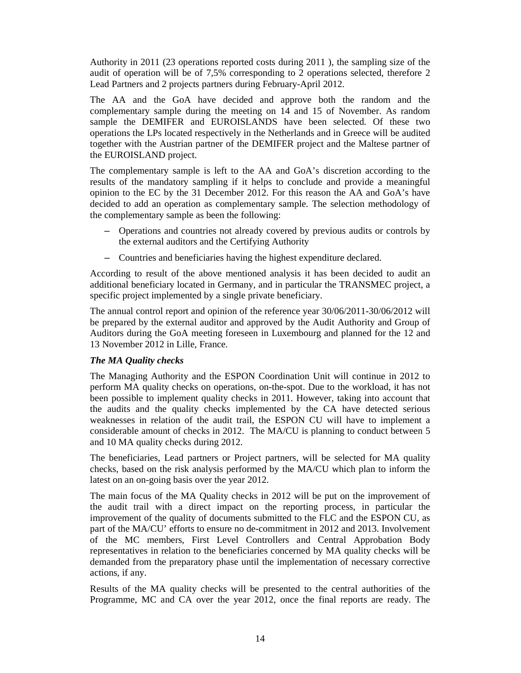Authority in 2011 (23 operations reported costs during 2011 ), the sampling size of the audit of operation will be of 7,5% corresponding to 2 operations selected, therefore 2 Lead Partners and 2 projects partners during February-April 2012.

The AA and the GoA have decided and approve both the random and the complementary sample during the meeting on 14 and 15 of November. As random sample the DEMIFER and EUROISLANDS have been selected. Of these two operations the LPs located respectively in the Netherlands and in Greece will be audited together with the Austrian partner of the DEMIFER project and the Maltese partner of the EUROISLAND project.

The complementary sample is left to the AA and GoA's discretion according to the results of the mandatory sampling if it helps to conclude and provide a meaningful opinion to the EC by the 31 December 2012. For this reason the AA and GoA's have decided to add an operation as complementary sample. The selection methodology of the complementary sample as been the following:

- Operations and countries not already covered by previous audits or controls by the external auditors and the Certifying Authority
- Countries and beneficiaries having the highest expenditure declared.

According to result of the above mentioned analysis it has been decided to audit an additional beneficiary located in Germany, and in particular the TRANSMEC project, a specific project implemented by a single private beneficiary.

The annual control report and opinion of the reference year 30/06/2011-30/06/2012 will be prepared by the external auditor and approved by the Audit Authority and Group of Auditors during the GoA meeting foreseen in Luxembourg and planned for the 12 and 13 November 2012 in Lille, France.

# *The MA Quality checks*

The Managing Authority and the ESPON Coordination Unit will continue in 2012 to perform MA quality checks on operations, on-the-spot. Due to the workload, it has not been possible to implement quality checks in 2011. However, taking into account that the audits and the quality checks implemented by the CA have detected serious weaknesses in relation of the audit trail, the ESPON CU will have to implement a considerable amount of checks in 2012. The MA/CU is planning to conduct between 5 and 10 MA quality checks during 2012.

The beneficiaries, Lead partners or Project partners, will be selected for MA quality checks, based on the risk analysis performed by the MA/CU which plan to inform the latest on an on-going basis over the year 2012.

The main focus of the MA Quality checks in 2012 will be put on the improvement of the audit trail with a direct impact on the reporting process, in particular the improvement of the quality of documents submitted to the FLC and the ESPON CU, as part of the MA/CU' efforts to ensure no de-commitment in 2012 and 2013. Involvement of the MC members, First Level Controllers and Central Approbation Body representatives in relation to the beneficiaries concerned by MA quality checks will be demanded from the preparatory phase until the implementation of necessary corrective actions, if any.

Results of the MA quality checks will be presented to the central authorities of the Programme, MC and CA over the year 2012, once the final reports are ready. The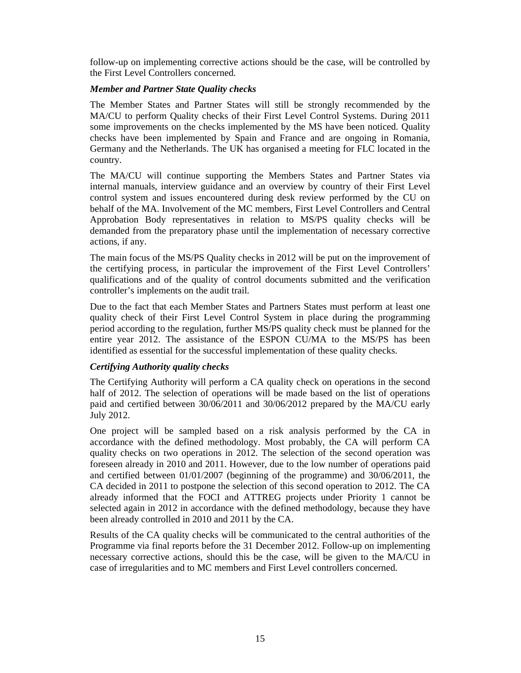follow-up on implementing corrective actions should be the case, will be controlled by the First Level Controllers concerned.

#### *Member and Partner State Quality checks*

The Member States and Partner States will still be strongly recommended by the MA/CU to perform Quality checks of their First Level Control Systems. During 2011 some improvements on the checks implemented by the MS have been noticed. Quality checks have been implemented by Spain and France and are ongoing in Romania, Germany and the Netherlands. The UK has organised a meeting for FLC located in the country.

The MA/CU will continue supporting the Members States and Partner States via internal manuals, interview guidance and an overview by country of their First Level control system and issues encountered during desk review performed by the CU on behalf of the MA. Involvement of the MC members, First Level Controllers and Central Approbation Body representatives in relation to MS/PS quality checks will be demanded from the preparatory phase until the implementation of necessary corrective actions, if any.

The main focus of the MS/PS Quality checks in 2012 will be put on the improvement of the certifying process, in particular the improvement of the First Level Controllers' qualifications and of the quality of control documents submitted and the verification controller's implements on the audit trail.

Due to the fact that each Member States and Partners States must perform at least one quality check of their First Level Control System in place during the programming period according to the regulation, further MS/PS quality check must be planned for the entire year 2012. The assistance of the ESPON CU/MA to the MS/PS has been identified as essential for the successful implementation of these quality checks.

#### *Certifying Authority quality checks*

The Certifying Authority will perform a CA quality check on operations in the second half of 2012. The selection of operations will be made based on the list of operations paid and certified between 30/06/2011 and 30/06/2012 prepared by the MA/CU early July 2012.

One project will be sampled based on a risk analysis performed by the CA in accordance with the defined methodology. Most probably, the CA will perform CA quality checks on two operations in 2012. The selection of the second operation was foreseen already in 2010 and 2011. However, due to the low number of operations paid and certified between 01/01/2007 (beginning of the programme) and 30/06/2011, the CA decided in 2011 to postpone the selection of this second operation to 2012. The CA already informed that the FOCI and ATTREG projects under Priority 1 cannot be selected again in 2012 in accordance with the defined methodology, because they have been already controlled in 2010 and 2011 by the CA.

Results of the CA quality checks will be communicated to the central authorities of the Programme via final reports before the 31 December 2012. Follow-up on implementing necessary corrective actions, should this be the case, will be given to the MA/CU in case of irregularities and to MC members and First Level controllers concerned.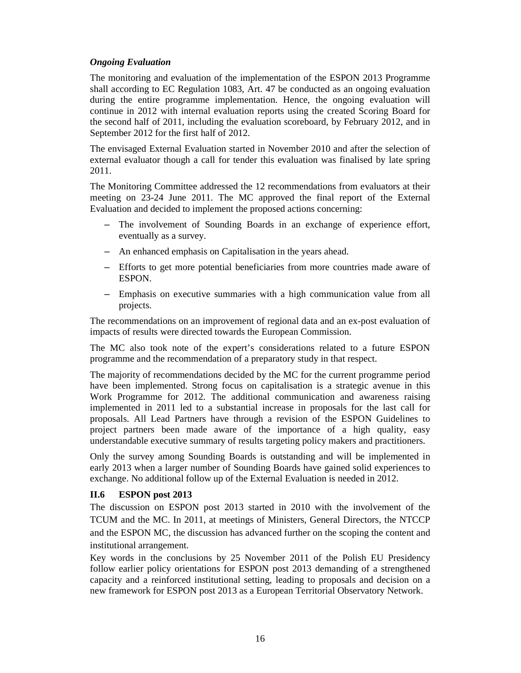### *Ongoing Evaluation*

The monitoring and evaluation of the implementation of the ESPON 2013 Programme shall according to EC Regulation 1083, Art. 47 be conducted as an ongoing evaluation during the entire programme implementation. Hence, the ongoing evaluation will continue in 2012 with internal evaluation reports using the created Scoring Board for the second half of 2011, including the evaluation scoreboard, by February 2012, and in September 2012 for the first half of 2012.

The envisaged External Evaluation started in November 2010 and after the selection of external evaluator though a call for tender this evaluation was finalised by late spring 2011.

The Monitoring Committee addressed the 12 recommendations from evaluators at their meeting on 23-24 June 2011. The MC approved the final report of the External Evaluation and decided to implement the proposed actions concerning:

- The involvement of Sounding Boards in an exchange of experience effort, eventually as a survey.
- An enhanced emphasis on Capitalisation in the years ahead.
- Efforts to get more potential beneficiaries from more countries made aware of ESPON.
- Emphasis on executive summaries with a high communication value from all projects.

The recommendations on an improvement of regional data and an ex-post evaluation of impacts of results were directed towards the European Commission.

The MC also took note of the expert's considerations related to a future ESPON programme and the recommendation of a preparatory study in that respect.

The majority of recommendations decided by the MC for the current programme period have been implemented. Strong focus on capitalisation is a strategic avenue in this Work Programme for 2012. The additional communication and awareness raising implemented in 2011 led to a substantial increase in proposals for the last call for proposals. All Lead Partners have through a revision of the ESPON Guidelines to project partners been made aware of the importance of a high quality, easy understandable executive summary of results targeting policy makers and practitioners.

Only the survey among Sounding Boards is outstanding and will be implemented in early 2013 when a larger number of Sounding Boards have gained solid experiences to exchange. No additional follow up of the External Evaluation is needed in 2012.

# **II.6 ESPON post 2013**

The discussion on ESPON post 2013 started in 2010 with the involvement of the TCUM and the MC. In 2011, at meetings of Ministers, General Directors, the NTCCP and the ESPON MC, the discussion has advanced further on the scoping the content and institutional arrangement.

Key words in the conclusions by 25 November 2011 of the Polish EU Presidency follow earlier policy orientations for ESPON post 2013 demanding of a strengthened capacity and a reinforced institutional setting, leading to proposals and decision on a new framework for ESPON post 2013 as a European Territorial Observatory Network.